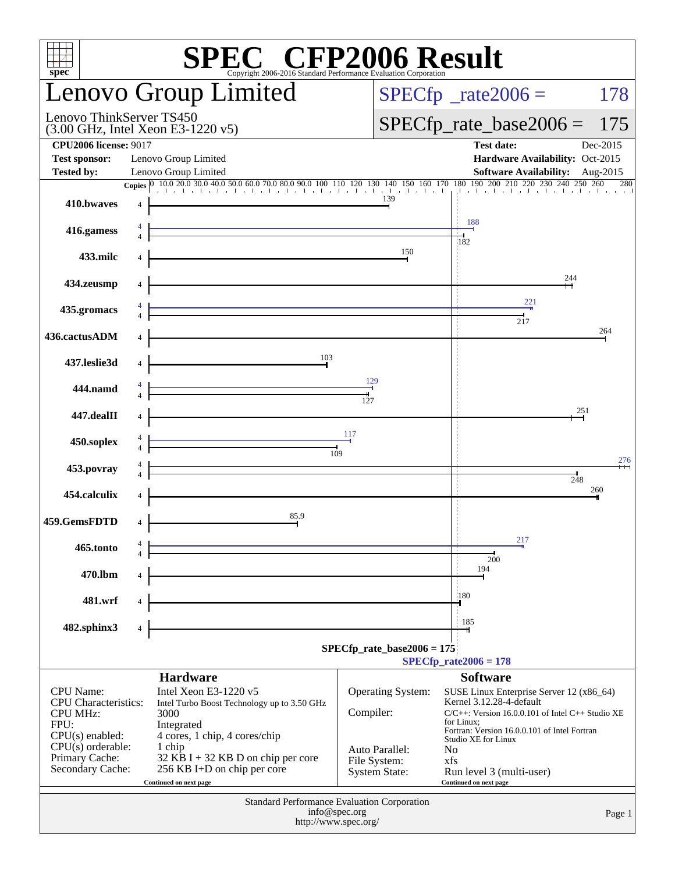| $spec^*$                                       | <b>SPEC<sup>®</sup></b> CFP2006 Result<br>opyright 2006-2016 Standard Performance Evaluation Corporation |                                |                                                                                   |
|------------------------------------------------|----------------------------------------------------------------------------------------------------------|--------------------------------|-----------------------------------------------------------------------------------|
|                                                | <b>Lenovo Group Limited</b>                                                                              |                                | $SPECfp^*$ _rate2006 =<br>178                                                     |
| Lenovo ThinkServer TS450                       | $(3.00 \text{ GHz}, \text{Intel Xeon E}3-1220 \text{ v}5)$                                               |                                | $SPECfp\_rate\_base2006 =$<br>175                                                 |
| <b>CPU2006 license: 9017</b>                   |                                                                                                          |                                | <b>Test date:</b><br>Dec-2015                                                     |
| <b>Test sponsor:</b>                           | Lenovo Group Limited                                                                                     |                                | Hardware Availability: Oct-2015                                                   |
| <b>Tested by:</b>                              | Lenovo Group Limited                                                                                     |                                | Software Availability: Aug-2015<br>280                                            |
| 410.bwayes                                     |                                                                                                          | 139                            |                                                                                   |
| 416.gamess                                     |                                                                                                          |                                | 188                                                                               |
| 433.milc                                       |                                                                                                          | 150                            | :182                                                                              |
| 434.zeusmp                                     |                                                                                                          |                                | 244                                                                               |
| 435.gromacs                                    |                                                                                                          |                                | 221<br>217                                                                        |
| 436.cactusADM                                  |                                                                                                          |                                | 264                                                                               |
| 437.leslie3d                                   | 103                                                                                                      |                                |                                                                                   |
| 444.namd                                       |                                                                                                          | 129<br>127                     |                                                                                   |
| 447.dealII                                     |                                                                                                          |                                | 251                                                                               |
| 450.soplex                                     | 109                                                                                                      | 117                            |                                                                                   |
| 453.povray                                     |                                                                                                          |                                | 276<br>248                                                                        |
| 454.calculix                                   |                                                                                                          |                                | 260                                                                               |
| 459.GemsFDTD                                   | 85.9                                                                                                     |                                |                                                                                   |
| 465.tonto                                      |                                                                                                          |                                | 217                                                                               |
| 470.1bm                                        | 4                                                                                                        |                                | 200<br>194                                                                        |
| 481.wrf                                        | 4                                                                                                        |                                | 180                                                                               |
| 482.sphinx3                                    |                                                                                                          |                                | 185                                                                               |
|                                                |                                                                                                          | $SPECfp_rate\_base2006 = 175$  | $SPECfp_{rate}2006 = 178$                                                         |
|                                                | <b>Hardware</b>                                                                                          |                                | <b>Software</b>                                                                   |
| <b>CPU</b> Name:                               | Intel Xeon E3-1220 v5                                                                                    | Operating System:              | SUSE Linux Enterprise Server 12 (x86_64)                                          |
| <b>CPU</b> Characteristics:<br><b>CPU MHz:</b> | Intel Turbo Boost Technology up to 3.50 GHz<br>3000                                                      | Compiler:                      | Kernel 3.12.28-4-default<br>$C/C++$ : Version 16.0.0.101 of Intel $C++$ Studio XE |
| FPU:                                           | Integrated                                                                                               |                                | for Linux;<br>Fortran: Version 16.0.0.101 of Intel Fortran                        |
| $CPU(s)$ enabled:                              | 4 cores, 1 chip, 4 cores/chip                                                                            |                                | Studio XE for Linux                                                               |
| $CPU(s)$ orderable:<br>Primary Cache:          | 1 chip<br>32 KB I + 32 KB D on chip per core                                                             | Auto Parallel:<br>File System: | N <sub>0</sub><br>xfs                                                             |
| Secondary Cache:                               | 256 KB I+D on chip per core                                                                              | <b>System State:</b>           | Run level 3 (multi-user)                                                          |
|                                                | Continued on next page                                                                                   |                                | Continued on next page                                                            |
|                                                | Standard Performance Evaluation Corporation                                                              |                                |                                                                                   |
|                                                | info@spec.org<br>http://www.spec.org/                                                                    |                                | Page 1                                                                            |
|                                                |                                                                                                          |                                |                                                                                   |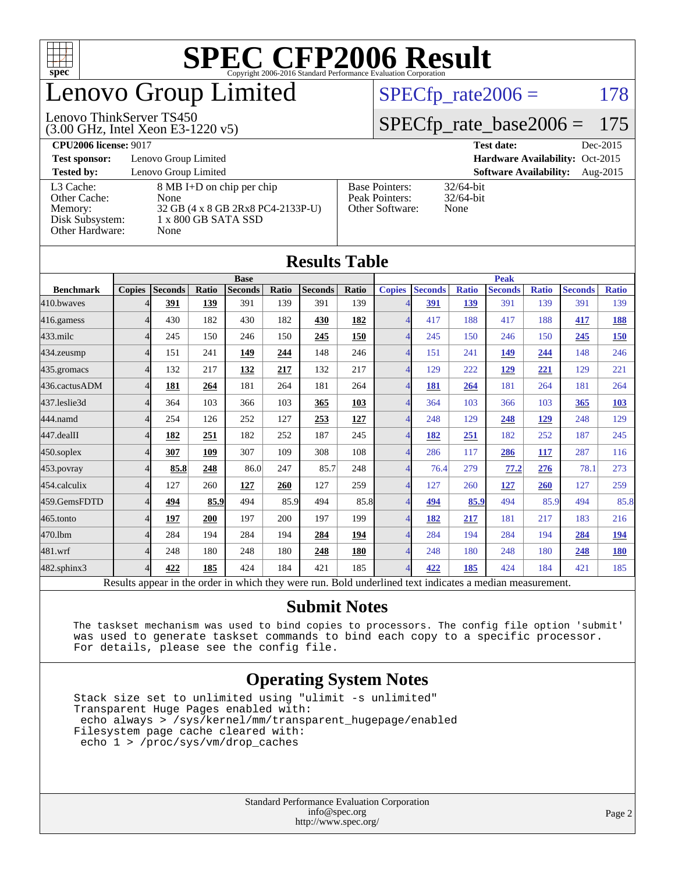

## enovo Group Limited

#### (3.00 GHz, Intel Xeon E3-1220 v5) Lenovo ThinkServer TS450

 $SPECTp_rate2006 = 178$ 

### [SPECfp\\_rate\\_base2006 =](http://www.spec.org/auto/cpu2006/Docs/result-fields.html#SPECfpratebase2006) 175

**[CPU2006 license:](http://www.spec.org/auto/cpu2006/Docs/result-fields.html#CPU2006license)** 9017 **[Test date:](http://www.spec.org/auto/cpu2006/Docs/result-fields.html#Testdate)** Dec-2015

**[Test sponsor:](http://www.spec.org/auto/cpu2006/Docs/result-fields.html#Testsponsor)** Lenovo Group Limited **[Hardware Availability:](http://www.spec.org/auto/cpu2006/Docs/result-fields.html#HardwareAvailability)** Oct-2015

[Other Cache:](http://www.spec.org/auto/cpu2006/Docs/result-fields.html#OtherCache) [Other Hardware:](http://www.spec.org/auto/cpu2006/Docs/result-fields.html#OtherHardware) None

**[Tested by:](http://www.spec.org/auto/cpu2006/Docs/result-fields.html#Testedby)** Lenovo Group Limited **[Software Availability:](http://www.spec.org/auto/cpu2006/Docs/result-fields.html#SoftwareAvailability)** Aug-2015 [L3 Cache:](http://www.spec.org/auto/cpu2006/Docs/result-fields.html#L3Cache) 8 MB I+D on chip per chip<br>Other Cache: None [Memory:](http://www.spec.org/auto/cpu2006/Docs/result-fields.html#Memory) 32 GB (4 x 8 GB 2Rx8 PC4-2133P-U) [Disk Subsystem:](http://www.spec.org/auto/cpu2006/Docs/result-fields.html#DiskSubsystem) 1 x 800 GB SATA SSD

| <b>Base Pointers:</b><br>Peak Pointers:<br>Other Software: | $32/64$ -bit<br>$32/64$ -bit<br>None |
|------------------------------------------------------------|--------------------------------------|
|                                                            |                                      |

None

|                   |                                                                                                          |                |       |                |       | <b>Results Table</b> |            |                |                |              |                |              |                |              |
|-------------------|----------------------------------------------------------------------------------------------------------|----------------|-------|----------------|-------|----------------------|------------|----------------|----------------|--------------|----------------|--------------|----------------|--------------|
|                   | <b>Base</b><br><b>Peak</b>                                                                               |                |       |                |       |                      |            |                |                |              |                |              |                |              |
| <b>Benchmark</b>  | <b>Copies</b>                                                                                            | <b>Seconds</b> | Ratio | <b>Seconds</b> | Ratio | <b>Seconds</b>       | Ratio      | <b>Copies</b>  | <b>Seconds</b> | <b>Ratio</b> | <b>Seconds</b> | <b>Ratio</b> | <b>Seconds</b> | <b>Ratio</b> |
| 410.bwayes        |                                                                                                          | 391            | 139   | 391            | 139   | 391                  | 139        |                | 391            | 139          | 391            | 139          | 391            | 139          |
| 416.gamess        |                                                                                                          | 430            | 182   | 430            | 182   | 430                  | 182        | $\overline{4}$ | 417            | 188          | 417            | 188          | 417            | 188          |
| 433.milc          | 4                                                                                                        | 245            | 150   | 246            | 150   | 245                  | 150        | $\overline{4}$ | 245            | 150          | 246            | 150          | 245            | 150          |
| $434$ . zeusmp    | 4                                                                                                        | 151            | 241   | 149            | 244   | 148                  | 246        | $\overline{4}$ | 151            | 241          | 149            | 244          | 148            | 246          |
| 435.gromacs       | 4                                                                                                        | 132            | 217   | 132            | 217   | 132                  | 217        | $\overline{4}$ | 129            | 222          | 129            | 221          | 129            | 221          |
| 436.cactusADM     | 4                                                                                                        | 181            | 264   | 181            | 264   | 181                  | 264        | $\overline{4}$ | 181            | 264          | 181            | 264          | 181            | 264          |
| 437.leslie3d      | 4                                                                                                        | 364            | 103   | 366            | 103   | 365                  | 103        | $\overline{4}$ | 364            | 103          | 366            | 103          | 365            | 103          |
| 444.namd          |                                                                                                          | 254            | 126   | 252            | 127   | 253                  | <u>127</u> | $\overline{4}$ | 248            | 129          | 248            | <u>129</u>   | 248            | 129          |
| 447.dealII        | Δ                                                                                                        | 182            | 251   | 182            | 252   | 187                  | 245        | $\overline{4}$ | 182            | 251          | 182            | 252          | 187            | 245          |
| $450$ .soplex     | 4                                                                                                        | 307            | 109   | 307            | 109   | 308                  | 108        | $\overline{4}$ | 286            | 117          | 286            | 117          | 287            | 116          |
| 453.povray        |                                                                                                          | 85.8           | 248   | 86.0           | 247   | 85.7                 | 248        | $\overline{4}$ | 76.4           | 279          | 77.2           | 276          | 78.1           | 273          |
| 454.calculix      | 4                                                                                                        | 127            | 260   | 127            | 260   | 127                  | 259        | $\overline{4}$ | 127            | 260          | 127            | 260          | 127            | 259          |
| 459.GemsFDTD      | 4                                                                                                        | 494            | 85.9  | 494            | 85.9  | 494                  | 85.8       | $\overline{4}$ | 494            | 85.9         | 494            | 85.9         | 494            | 85.8         |
| $465$ .tonto      | Δ                                                                                                        | 197            | 200   | 197            | 200   | 197                  | 199        | $\overline{4}$ | 182            | 217          | 181            | 217          | 183            | 216          |
| 470.1bm           |                                                                                                          | 284            | 194   | 284            | 194   | 284                  | 194        | $\overline{4}$ | 284            | 194          | 284            | 194          | 284            | 194          |
| 481.wrf           |                                                                                                          | 248            | 180   | 248            | 180   | 248                  | 180        | $\overline{4}$ | 248            | 180          | 248            | 180          | 248            | 180          |
| $482$ .sphinx $3$ | 4                                                                                                        | 422            | 185   | 424            | 184   | 421                  | 185        | $\overline{4}$ | 422            | 185          | 424            | 184          | 421            | 185          |
|                   | Results appear in the order in which they were run. Bold underlined text indicates a median measurement. |                |       |                |       |                      |            |                |                |              |                |              |                |              |

**[Submit Notes](http://www.spec.org/auto/cpu2006/Docs/result-fields.html#SubmitNotes)**

 The taskset mechanism was used to bind copies to processors. The config file option 'submit' was used to generate taskset commands to bind each copy to a specific processor. For details, please see the config file.

### **[Operating System Notes](http://www.spec.org/auto/cpu2006/Docs/result-fields.html#OperatingSystemNotes)**

 Stack size set to unlimited using "ulimit -s unlimited" Transparent Huge Pages enabled with: echo always > /sys/kernel/mm/transparent\_hugepage/enabled Filesystem page cache cleared with: echo 1 > /proc/sys/vm/drop\_caches

> Standard Performance Evaluation Corporation [info@spec.org](mailto:info@spec.org) <http://www.spec.org/>

#### Page 2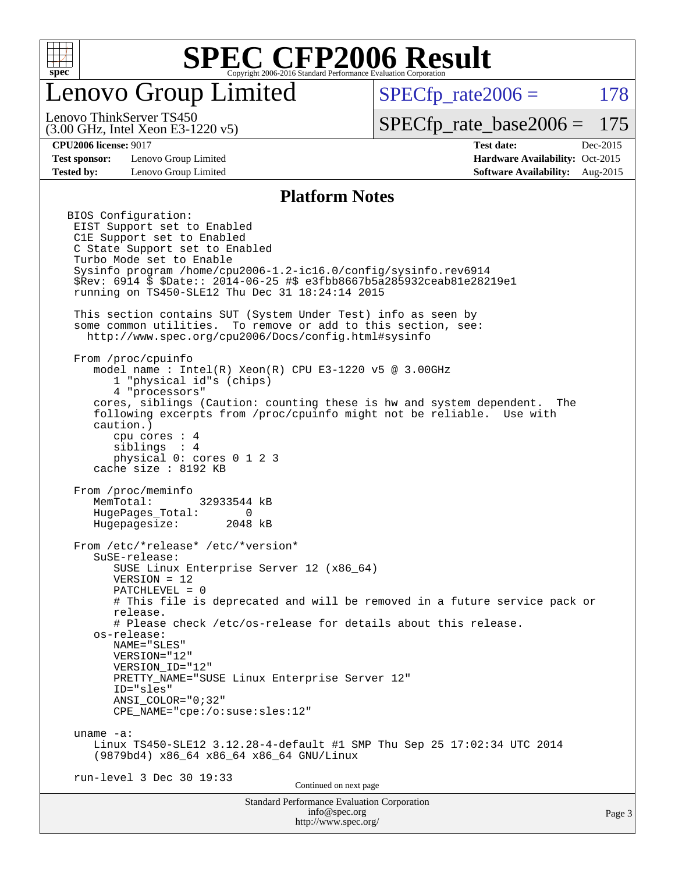

## enovo Group Limited

 $SPECTp\_rate2006 = 178$ 

(3.00 GHz, Intel Xeon E3-1220 v5) Lenovo ThinkServer TS450

[SPECfp\\_rate\\_base2006 =](http://www.spec.org/auto/cpu2006/Docs/result-fields.html#SPECfpratebase2006) 175

**[Test sponsor:](http://www.spec.org/auto/cpu2006/Docs/result-fields.html#Testsponsor)** Lenovo Group Limited **[Hardware Availability:](http://www.spec.org/auto/cpu2006/Docs/result-fields.html#HardwareAvailability)** Oct-2015

**[CPU2006 license:](http://www.spec.org/auto/cpu2006/Docs/result-fields.html#CPU2006license)** 9017 **[Test date:](http://www.spec.org/auto/cpu2006/Docs/result-fields.html#Testdate)** Dec-2015 **[Tested by:](http://www.spec.org/auto/cpu2006/Docs/result-fields.html#Testedby)** Lenovo Group Limited **[Software Availability:](http://www.spec.org/auto/cpu2006/Docs/result-fields.html#SoftwareAvailability)** Aug-2015

### **[Platform Notes](http://www.spec.org/auto/cpu2006/Docs/result-fields.html#PlatformNotes)**

Standard Performance Evaluation Corporation [info@spec.org](mailto:info@spec.org) BIOS Configuration: EIST Support set to Enabled C1E Support set to Enabled C State Support set to Enabled Turbo Mode set to Enable Sysinfo program /home/cpu2006-1.2-ic16.0/config/sysinfo.rev6914 \$Rev: 6914 \$ \$Date:: 2014-06-25 #\$ e3fbb8667b5a285932ceab81e28219e1 running on TS450-SLE12 Thu Dec 31 18:24:14 2015 This section contains SUT (System Under Test) info as seen by some common utilities. To remove or add to this section, see: <http://www.spec.org/cpu2006/Docs/config.html#sysinfo> From /proc/cpuinfo model name : Intel(R) Xeon(R) CPU E3-1220 v5 @ 3.00GHz 1 "physical id"s (chips) 4 "processors" cores, siblings (Caution: counting these is hw and system dependent. The following excerpts from /proc/cpuinfo might not be reliable. Use with caution.) cpu cores : 4 siblings : 4 physical 0: cores 0 1 2 3 cache size : 8192 KB From /proc/meminfo MemTotal: 32933544 kB HugePages\_Total: 0<br>Hugepagesize: 2048 kB Hugepagesize: From /etc/\*release\* /etc/\*version\* SuSE-release: SUSE Linux Enterprise Server 12 (x86\_64) VERSION = 12 PATCHLEVEL = 0 # This file is deprecated and will be removed in a future service pack or release. # Please check /etc/os-release for details about this release. os-release: NAME="SLES" VERSION="12" VERSION\_ID="12" PRETTY\_NAME="SUSE Linux Enterprise Server 12" ID="sles" ANSI\_COLOR="0;32" CPE\_NAME="cpe:/o:suse:sles:12" uname -a: Linux TS450-SLE12 3.12.28-4-default #1 SMP Thu Sep 25 17:02:34 UTC 2014 (9879bd4) x86\_64 x86\_64 x86\_64 GNU/Linux run-level 3 Dec 30 19:33 Continued on next page

<http://www.spec.org/>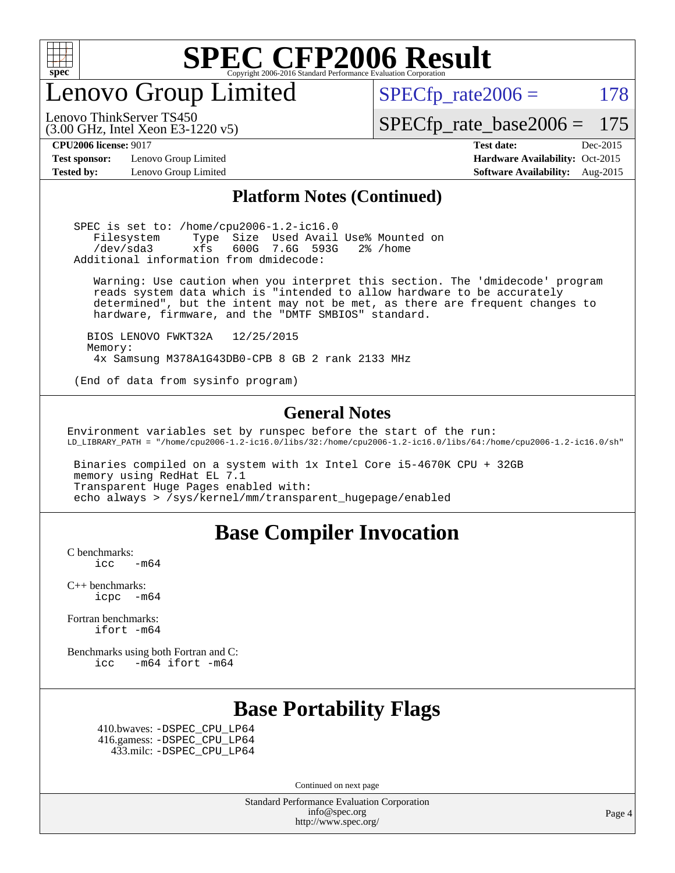

Lenovo Group Limited

 $SPECTp_rate2006 = 178$ 

[SPECfp\\_rate\\_base2006 =](http://www.spec.org/auto/cpu2006/Docs/result-fields.html#SPECfpratebase2006) 175

Lenovo ThinkServer TS450

**[Test sponsor:](http://www.spec.org/auto/cpu2006/Docs/result-fields.html#Testsponsor)** Lenovo Group Limited **[Hardware Availability:](http://www.spec.org/auto/cpu2006/Docs/result-fields.html#HardwareAvailability)** Oct-2015

(3.00 GHz, Intel Xeon E3-1220 v5)

**[CPU2006 license:](http://www.spec.org/auto/cpu2006/Docs/result-fields.html#CPU2006license)** 9017 **[Test date:](http://www.spec.org/auto/cpu2006/Docs/result-fields.html#Testdate)** Dec-2015 **[Tested by:](http://www.spec.org/auto/cpu2006/Docs/result-fields.html#Testedby)** Lenovo Group Limited **[Software Availability:](http://www.spec.org/auto/cpu2006/Docs/result-fields.html#SoftwareAvailability)** Aug-2015

### **[Platform Notes \(Continued\)](http://www.spec.org/auto/cpu2006/Docs/result-fields.html#PlatformNotes)**

 SPEC is set to: /home/cpu2006-1.2-ic16.0 Filesystem Type Size Used Avail Use% Mounted on /dev/sda3 xfs 600G 7.6G 593G 2% /home Additional information from dmidecode:

 Warning: Use caution when you interpret this section. The 'dmidecode' program reads system data which is "intended to allow hardware to be accurately determined", but the intent may not be met, as there are frequent changes to hardware, firmware, and the "DMTF SMBIOS" standard.

 BIOS LENOVO FWKT32A 12/25/2015 Memory: 4x Samsung M378A1G43DB0-CPB 8 GB 2 rank 2133 MHz

(End of data from sysinfo program)

### **[General Notes](http://www.spec.org/auto/cpu2006/Docs/result-fields.html#GeneralNotes)**

Environment variables set by runspec before the start of the run: LD\_LIBRARY\_PATH = "/home/cpu2006-1.2-ic16.0/libs/32:/home/cpu2006-1.2-ic16.0/libs/64:/home/cpu2006-1.2-ic16.0/sh"

 Binaries compiled on a system with 1x Intel Core i5-4670K CPU + 32GB memory using RedHat EL 7.1 Transparent Huge Pages enabled with: echo always > /sys/kernel/mm/transparent\_hugepage/enabled

### **[Base Compiler Invocation](http://www.spec.org/auto/cpu2006/Docs/result-fields.html#BaseCompilerInvocation)**

[C benchmarks](http://www.spec.org/auto/cpu2006/Docs/result-fields.html#Cbenchmarks):  $\text{icc}$  -m64

[C++ benchmarks:](http://www.spec.org/auto/cpu2006/Docs/result-fields.html#CXXbenchmarks) [icpc -m64](http://www.spec.org/cpu2006/results/res2016q1/cpu2006-20160125-38906.flags.html#user_CXXbase_intel_icpc_64bit_bedb90c1146cab66620883ef4f41a67e)

[Fortran benchmarks](http://www.spec.org/auto/cpu2006/Docs/result-fields.html#Fortranbenchmarks): [ifort -m64](http://www.spec.org/cpu2006/results/res2016q1/cpu2006-20160125-38906.flags.html#user_FCbase_intel_ifort_64bit_ee9d0fb25645d0210d97eb0527dcc06e)

[Benchmarks using both Fortran and C](http://www.spec.org/auto/cpu2006/Docs/result-fields.html#BenchmarksusingbothFortranandC): [icc -m64](http://www.spec.org/cpu2006/results/res2016q1/cpu2006-20160125-38906.flags.html#user_CC_FCbase_intel_icc_64bit_0b7121f5ab7cfabee23d88897260401c) [ifort -m64](http://www.spec.org/cpu2006/results/res2016q1/cpu2006-20160125-38906.flags.html#user_CC_FCbase_intel_ifort_64bit_ee9d0fb25645d0210d97eb0527dcc06e)

### **[Base Portability Flags](http://www.spec.org/auto/cpu2006/Docs/result-fields.html#BasePortabilityFlags)**

 410.bwaves: [-DSPEC\\_CPU\\_LP64](http://www.spec.org/cpu2006/results/res2016q1/cpu2006-20160125-38906.flags.html#suite_basePORTABILITY410_bwaves_DSPEC_CPU_LP64) 416.gamess: [-DSPEC\\_CPU\\_LP64](http://www.spec.org/cpu2006/results/res2016q1/cpu2006-20160125-38906.flags.html#suite_basePORTABILITY416_gamess_DSPEC_CPU_LP64) 433.milc: [-DSPEC\\_CPU\\_LP64](http://www.spec.org/cpu2006/results/res2016q1/cpu2006-20160125-38906.flags.html#suite_basePORTABILITY433_milc_DSPEC_CPU_LP64)

Continued on next page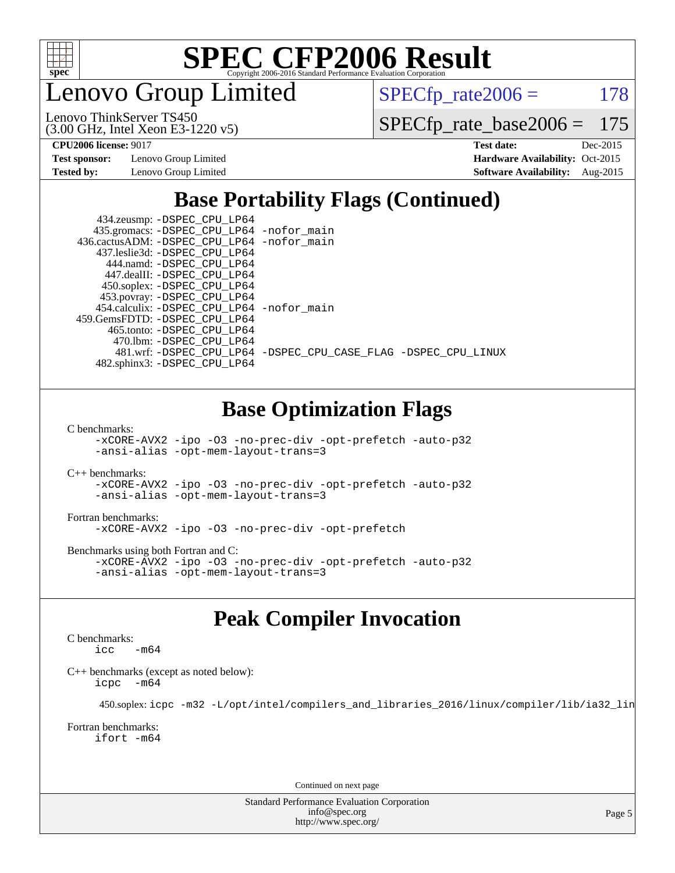

enovo Group Limited

 $SPECTp_rate2006 = 178$ 

(3.00 GHz, Intel Xeon E3-1220 v5) Lenovo ThinkServer TS450

[SPECfp\\_rate\\_base2006 =](http://www.spec.org/auto/cpu2006/Docs/result-fields.html#SPECfpratebase2006) 175

**[Test sponsor:](http://www.spec.org/auto/cpu2006/Docs/result-fields.html#Testsponsor)** Lenovo Group Limited **[Hardware Availability:](http://www.spec.org/auto/cpu2006/Docs/result-fields.html#HardwareAvailability)** Oct-2015

**[CPU2006 license:](http://www.spec.org/auto/cpu2006/Docs/result-fields.html#CPU2006license)** 9017 **[Test date:](http://www.spec.org/auto/cpu2006/Docs/result-fields.html#Testdate)** Dec-2015 **[Tested by:](http://www.spec.org/auto/cpu2006/Docs/result-fields.html#Testedby)** Lenovo Group Limited **[Software Availability:](http://www.spec.org/auto/cpu2006/Docs/result-fields.html#SoftwareAvailability)** Aug-2015

### **[Base Portability Flags \(Continued\)](http://www.spec.org/auto/cpu2006/Docs/result-fields.html#BasePortabilityFlags)**

| 434.zeusmp: - DSPEC_CPU_LP64               |                                                                |
|--------------------------------------------|----------------------------------------------------------------|
| 435.gromacs: -DSPEC_CPU_LP64 -nofor_main   |                                                                |
| 436.cactusADM: -DSPEC_CPU_LP64 -nofor_main |                                                                |
| 437.leslie3d: -DSPEC CPU LP64              |                                                                |
| 444.namd: -DSPEC CPU LP64                  |                                                                |
| 447.dealII: -DSPEC CPU LP64                |                                                                |
| 450.soplex: -DSPEC_CPU_LP64                |                                                                |
| 453.povray: -DSPEC_CPU_LP64                |                                                                |
| 454.calculix: -DSPEC_CPU_LP64 -nofor_main  |                                                                |
| 459.GemsFDTD: -DSPEC CPU LP64              |                                                                |
| 465.tonto: -DSPEC CPU LP64                 |                                                                |
| 470.1bm: - DSPEC CPU LP64                  |                                                                |
|                                            | 481.wrf: -DSPEC CPU_LP64 -DSPEC_CPU_CASE_FLAG -DSPEC_CPU_LINUX |
| 482.sphinx3: -DSPEC_CPU_LP64               |                                                                |

### **[Base Optimization Flags](http://www.spec.org/auto/cpu2006/Docs/result-fields.html#BaseOptimizationFlags)**

[C benchmarks](http://www.spec.org/auto/cpu2006/Docs/result-fields.html#Cbenchmarks):

[-xCORE-AVX2](http://www.spec.org/cpu2006/results/res2016q1/cpu2006-20160125-38906.flags.html#user_CCbase_f-xAVX2_5f5fc0cbe2c9f62c816d3e45806c70d7) [-ipo](http://www.spec.org/cpu2006/results/res2016q1/cpu2006-20160125-38906.flags.html#user_CCbase_f-ipo) [-O3](http://www.spec.org/cpu2006/results/res2016q1/cpu2006-20160125-38906.flags.html#user_CCbase_f-O3) [-no-prec-div](http://www.spec.org/cpu2006/results/res2016q1/cpu2006-20160125-38906.flags.html#user_CCbase_f-no-prec-div) [-opt-prefetch](http://www.spec.org/cpu2006/results/res2016q1/cpu2006-20160125-38906.flags.html#user_CCbase_f-opt-prefetch) [-auto-p32](http://www.spec.org/cpu2006/results/res2016q1/cpu2006-20160125-38906.flags.html#user_CCbase_f-auto-p32) [-ansi-alias](http://www.spec.org/cpu2006/results/res2016q1/cpu2006-20160125-38906.flags.html#user_CCbase_f-ansi-alias) [-opt-mem-layout-trans=3](http://www.spec.org/cpu2006/results/res2016q1/cpu2006-20160125-38906.flags.html#user_CCbase_f-opt-mem-layout-trans_a7b82ad4bd7abf52556d4961a2ae94d5)

[C++ benchmarks:](http://www.spec.org/auto/cpu2006/Docs/result-fields.html#CXXbenchmarks)

[-xCORE-AVX2](http://www.spec.org/cpu2006/results/res2016q1/cpu2006-20160125-38906.flags.html#user_CXXbase_f-xAVX2_5f5fc0cbe2c9f62c816d3e45806c70d7) [-ipo](http://www.spec.org/cpu2006/results/res2016q1/cpu2006-20160125-38906.flags.html#user_CXXbase_f-ipo) [-O3](http://www.spec.org/cpu2006/results/res2016q1/cpu2006-20160125-38906.flags.html#user_CXXbase_f-O3) [-no-prec-div](http://www.spec.org/cpu2006/results/res2016q1/cpu2006-20160125-38906.flags.html#user_CXXbase_f-no-prec-div) [-opt-prefetch](http://www.spec.org/cpu2006/results/res2016q1/cpu2006-20160125-38906.flags.html#user_CXXbase_f-opt-prefetch) [-auto-p32](http://www.spec.org/cpu2006/results/res2016q1/cpu2006-20160125-38906.flags.html#user_CXXbase_f-auto-p32) [-ansi-alias](http://www.spec.org/cpu2006/results/res2016q1/cpu2006-20160125-38906.flags.html#user_CXXbase_f-ansi-alias) [-opt-mem-layout-trans=3](http://www.spec.org/cpu2006/results/res2016q1/cpu2006-20160125-38906.flags.html#user_CXXbase_f-opt-mem-layout-trans_a7b82ad4bd7abf52556d4961a2ae94d5)

#### [Fortran benchmarks](http://www.spec.org/auto/cpu2006/Docs/result-fields.html#Fortranbenchmarks):

[-xCORE-AVX2](http://www.spec.org/cpu2006/results/res2016q1/cpu2006-20160125-38906.flags.html#user_FCbase_f-xAVX2_5f5fc0cbe2c9f62c816d3e45806c70d7) [-ipo](http://www.spec.org/cpu2006/results/res2016q1/cpu2006-20160125-38906.flags.html#user_FCbase_f-ipo) [-O3](http://www.spec.org/cpu2006/results/res2016q1/cpu2006-20160125-38906.flags.html#user_FCbase_f-O3) [-no-prec-div](http://www.spec.org/cpu2006/results/res2016q1/cpu2006-20160125-38906.flags.html#user_FCbase_f-no-prec-div) [-opt-prefetch](http://www.spec.org/cpu2006/results/res2016q1/cpu2006-20160125-38906.flags.html#user_FCbase_f-opt-prefetch)

[Benchmarks using both Fortran and C](http://www.spec.org/auto/cpu2006/Docs/result-fields.html#BenchmarksusingbothFortranandC):

[-xCORE-AVX2](http://www.spec.org/cpu2006/results/res2016q1/cpu2006-20160125-38906.flags.html#user_CC_FCbase_f-xAVX2_5f5fc0cbe2c9f62c816d3e45806c70d7) [-ipo](http://www.spec.org/cpu2006/results/res2016q1/cpu2006-20160125-38906.flags.html#user_CC_FCbase_f-ipo) [-O3](http://www.spec.org/cpu2006/results/res2016q1/cpu2006-20160125-38906.flags.html#user_CC_FCbase_f-O3) [-no-prec-div](http://www.spec.org/cpu2006/results/res2016q1/cpu2006-20160125-38906.flags.html#user_CC_FCbase_f-no-prec-div) [-opt-prefetch](http://www.spec.org/cpu2006/results/res2016q1/cpu2006-20160125-38906.flags.html#user_CC_FCbase_f-opt-prefetch) [-auto-p32](http://www.spec.org/cpu2006/results/res2016q1/cpu2006-20160125-38906.flags.html#user_CC_FCbase_f-auto-p32) [-ansi-alias](http://www.spec.org/cpu2006/results/res2016q1/cpu2006-20160125-38906.flags.html#user_CC_FCbase_f-ansi-alias) [-opt-mem-layout-trans=3](http://www.spec.org/cpu2006/results/res2016q1/cpu2006-20160125-38906.flags.html#user_CC_FCbase_f-opt-mem-layout-trans_a7b82ad4bd7abf52556d4961a2ae94d5)

### **[Peak Compiler Invocation](http://www.spec.org/auto/cpu2006/Docs/result-fields.html#PeakCompilerInvocation)**

#### [C benchmarks](http://www.spec.org/auto/cpu2006/Docs/result-fields.html#Cbenchmarks):

 $\text{icc}$   $-\text{m64}$ 

[C++ benchmarks \(except as noted below\):](http://www.spec.org/auto/cpu2006/Docs/result-fields.html#CXXbenchmarksexceptasnotedbelow) [icpc -m64](http://www.spec.org/cpu2006/results/res2016q1/cpu2006-20160125-38906.flags.html#user_CXXpeak_intel_icpc_64bit_bedb90c1146cab66620883ef4f41a67e)

450.soplex: [icpc -m32 -L/opt/intel/compilers\\_and\\_libraries\\_2016/linux/compiler/lib/ia32\\_lin](http://www.spec.org/cpu2006/results/res2016q1/cpu2006-20160125-38906.flags.html#user_peakCXXLD450_soplex_intel_icpc_b4f50a394bdb4597aa5879c16bc3f5c5)

#### [Fortran benchmarks](http://www.spec.org/auto/cpu2006/Docs/result-fields.html#Fortranbenchmarks): [ifort -m64](http://www.spec.org/cpu2006/results/res2016q1/cpu2006-20160125-38906.flags.html#user_FCpeak_intel_ifort_64bit_ee9d0fb25645d0210d97eb0527dcc06e)

Continued on next page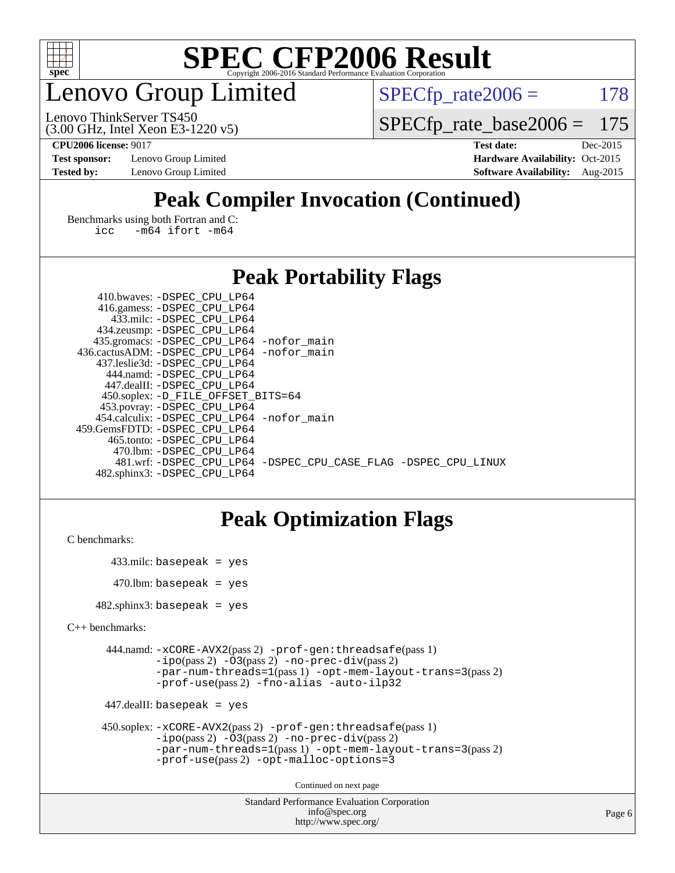

## enovo Group Limited

 $SPECTp_rate2006 = 178$ 

(3.00 GHz, Intel Xeon E3-1220 v5) Lenovo ThinkServer TS450

[SPECfp\\_rate\\_base2006 =](http://www.spec.org/auto/cpu2006/Docs/result-fields.html#SPECfpratebase2006) 175

**[Test sponsor:](http://www.spec.org/auto/cpu2006/Docs/result-fields.html#Testsponsor)** Lenovo Group Limited **[Hardware Availability:](http://www.spec.org/auto/cpu2006/Docs/result-fields.html#HardwareAvailability)** Oct-2015

**[CPU2006 license:](http://www.spec.org/auto/cpu2006/Docs/result-fields.html#CPU2006license)** 9017 **[Test date:](http://www.spec.org/auto/cpu2006/Docs/result-fields.html#Testdate)** Dec-2015 **[Tested by:](http://www.spec.org/auto/cpu2006/Docs/result-fields.html#Testedby)** Lenovo Group Limited **[Software Availability:](http://www.spec.org/auto/cpu2006/Docs/result-fields.html#SoftwareAvailability)** Aug-2015

### **[Peak Compiler Invocation \(Continued\)](http://www.spec.org/auto/cpu2006/Docs/result-fields.html#PeakCompilerInvocation)**

[Benchmarks using both Fortran and C](http://www.spec.org/auto/cpu2006/Docs/result-fields.html#BenchmarksusingbothFortranandC): [icc -m64](http://www.spec.org/cpu2006/results/res2016q1/cpu2006-20160125-38906.flags.html#user_CC_FCpeak_intel_icc_64bit_0b7121f5ab7cfabee23d88897260401c) [ifort -m64](http://www.spec.org/cpu2006/results/res2016q1/cpu2006-20160125-38906.flags.html#user_CC_FCpeak_intel_ifort_64bit_ee9d0fb25645d0210d97eb0527dcc06e)

### **[Peak Portability Flags](http://www.spec.org/auto/cpu2006/Docs/result-fields.html#PeakPortabilityFlags)**

| 410.bwaves: -DSPEC CPU LP64                 |                                                                |
|---------------------------------------------|----------------------------------------------------------------|
| 416.gamess: -DSPEC_CPU_LP64                 |                                                                |
| 433.milc: -DSPEC CPU LP64                   |                                                                |
| 434.zeusmp: -DSPEC_CPU_LP64                 |                                                                |
| 435.gromacs: -DSPEC_CPU_LP64 -nofor_main    |                                                                |
| 436.cactusADM: -DSPEC CPU LP64 -nofor main  |                                                                |
| 437.leslie3d: -DSPEC CPU LP64               |                                                                |
| 444.namd: - DSPEC_CPU LP64                  |                                                                |
| 447.dealII: -DSPEC CPU LP64                 |                                                                |
| 450.soplex: -D_FILE_OFFSET_BITS=64          |                                                                |
| 453.povray: -DSPEC_CPU_LP64                 |                                                                |
| 454.calculix: - DSPEC CPU LP64 - nofor main |                                                                |
| 459.GemsFDTD: -DSPEC CPU LP64               |                                                                |
| 465.tonto: - DSPEC CPU LP64                 |                                                                |
| 470.1bm: - DSPEC CPU LP64                   |                                                                |
|                                             | 481.wrf: -DSPEC CPU LP64 -DSPEC CPU CASE FLAG -DSPEC CPU LINUX |
| 482.sphinx3: -DSPEC CPU LP64                |                                                                |

### **[Peak Optimization Flags](http://www.spec.org/auto/cpu2006/Docs/result-fields.html#PeakOptimizationFlags)**

```
C benchmarks:
```

```
 433.milc: basepeak = yes
470.lbm: basepeak = yes
```
482.sphinx3: basepeak = yes

```
C++ benchmarks:
```

```
 444.namd: -xCORE-AVX2(pass 2) -prof-gen:threadsafe(pass 1)
         -i\text{po}(pass 2) -\overline{O}3(pass 2)-no-prec-div(pass 2)
         -par-num-threads=1(pass 1) -opt-mem-layout-trans=3(pass 2)
         -prof-use(pass 2) -fno-alias -auto-ilp32
```

```
 447.dealII: basepeak = yes
```

```
 450.soplex: -xCORE-AVX2(pass 2) -prof-gen:threadsafe(pass 1)
         -ipo(pass 2) -O3(pass 2) -no-prec-div(pass 2)
         -par-num-threads=1(pass 1) -opt-mem-layout-trans=3(pass 2)
         -prof-use(pass 2) -opt-malloc-options=3
```
Continued on next page

```
Standard Performance Evaluation Corporation
              info@spec.org
           http://www.spec.org/
```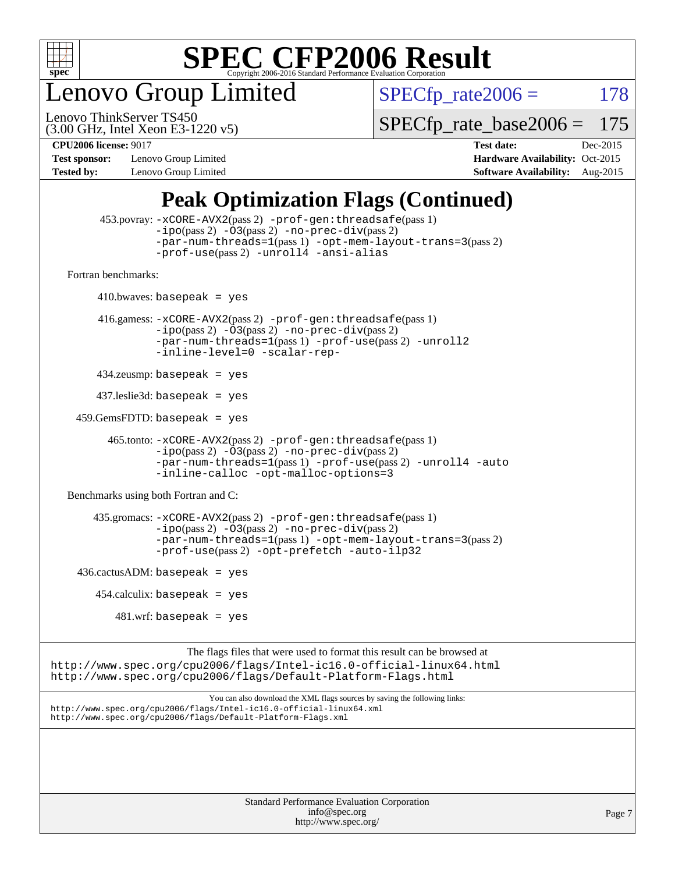

enovo Group Limited

 $SPECTp_rate2006 = 178$ 

(3.00 GHz, Intel Xeon E3-1220 v5) Lenovo ThinkServer TS450

[SPECfp\\_rate\\_base2006 =](http://www.spec.org/auto/cpu2006/Docs/result-fields.html#SPECfpratebase2006) 175

**[Test sponsor:](http://www.spec.org/auto/cpu2006/Docs/result-fields.html#Testsponsor)** Lenovo Group Limited **[Hardware Availability:](http://www.spec.org/auto/cpu2006/Docs/result-fields.html#HardwareAvailability)** Oct-2015

**[CPU2006 license:](http://www.spec.org/auto/cpu2006/Docs/result-fields.html#CPU2006license)** 9017 **[Test date:](http://www.spec.org/auto/cpu2006/Docs/result-fields.html#Testdate)** Dec-2015 **[Tested by:](http://www.spec.org/auto/cpu2006/Docs/result-fields.html#Testedby)** Lenovo Group Limited **[Software Availability:](http://www.spec.org/auto/cpu2006/Docs/result-fields.html#SoftwareAvailability)** Aug-2015

### **[Peak Optimization Flags \(Continued\)](http://www.spec.org/auto/cpu2006/Docs/result-fields.html#PeakOptimizationFlags)**

```
 453.povray: -xCORE-AVX2(pass 2) -prof-gen:threadsafe(pass 1)
                   -i\text{po}(pass 2) -\overset{\sim}{O}3(pass 2)-no-prec-div(pass 2)
                   -par-num-threads=1(pass 1) -opt-mem-layout-trans=3(pass 2)
                   -prof-use(pass 2) -unroll4 -ansi-alias
   Fortran benchmarks: 
        410.bwaves: basepeak = yes 416.gamess: -xCORE-AVX2(pass 2) -prof-gen:threadsafe(pass 1)
                   -ipo(pass 2) -O3(pass 2) -no-prec-div(pass 2)
                   -par-num-threads=1(pass 1) -prof-use(pass 2) -unroll2
                   -inline-level=0 -scalar-rep-
         434.zeusmp: basepeak = yes
         437.leslie3d: basepeak = yes
     459.GemsFDTD: basepeak = yes
           465.tonto: -xCORE-AVX2(pass 2) -prof-gen:threadsafe(pass 1)
                   -no-prec-div(pass 2)-par-num-threads=1(pass 1) -prof-use(pass 2) -unroll4 -auto
                   -inline-calloc -opt-malloc-options=3
   Benchmarks using both Fortran and C: 
        435.gromacs: -xCORE-AVX2(pass 2) -prof-gen:threadsafe(pass 1)
                   -i\text{po}(pass 2) -\tilde{O}3(pass 2)-no-prec-div(pass 2)
                   -par-num-threads=1(pass 1) -opt-mem-layout-trans=3(pass 2)
                   -prof-use(pass 2) -opt-prefetch -auto-ilp32
    436.cactusADM: basepeak = yes454.calculix: basepeak = yes
            481 \text{.m}: basepeak = yes
                         The flags files that were used to format this result can be browsed at
http://www.spec.org/cpu2006/flags/Intel-ic16.0-official-linux64.html
http://www.spec.org/cpu2006/flags/Default-Platform-Flags.html
                             You can also download the XML flags sources by saving the following links:
http://www.spec.org/cpu2006/flags/Intel-ic16.0-official-linux64.xml
http://www.spec.org/cpu2006/flags/Default-Platform-Flags.xml
```